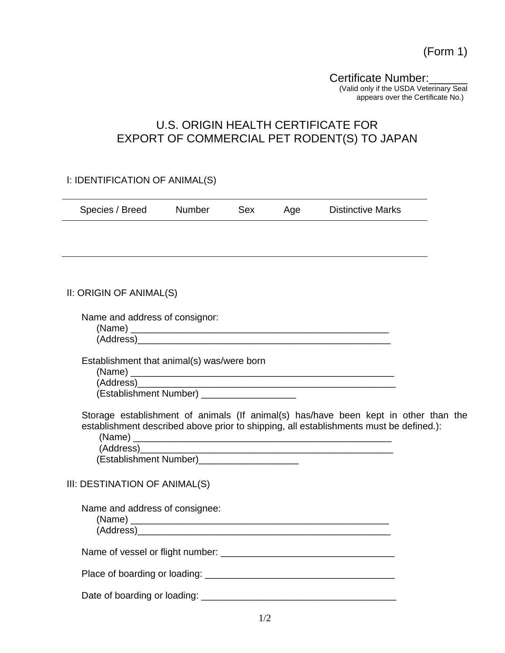(Form 1)

Certificate Number:\_\_\_\_\_\_

(Valid only if the USDA Veterinary Seal appears over the Certificate No.)

## U.S. ORIGIN HEALTH CERTIFICATE FOR EXPORT OF COMMERCIAL PET RODENT(S) TO JAPAN

Ⅰ: IDENTIFICATION OF ANIMAL(S)

| Species / Breed                | Number                                      | Sex | Age Distinctive Marks                                                                                                                                                         |  |
|--------------------------------|---------------------------------------------|-----|-------------------------------------------------------------------------------------------------------------------------------------------------------------------------------|--|
|                                |                                             |     |                                                                                                                                                                               |  |
|                                |                                             |     |                                                                                                                                                                               |  |
| II: ORIGIN OF ANIMAL(S)        |                                             |     |                                                                                                                                                                               |  |
| Name and address of consignor: |                                             |     |                                                                                                                                                                               |  |
|                                | Establishment that animal(s) was/were born  |     |                                                                                                                                                                               |  |
|                                | (Establishment Number) ____________________ |     |                                                                                                                                                                               |  |
|                                |                                             |     | Storage establishment of animals (If animal(s) has/have been kept in other than the<br>establishment described above prior to shipping, all establishments must be defined.): |  |
|                                |                                             |     |                                                                                                                                                                               |  |
| III: DESTINATION OF ANIMAL(S)  |                                             |     |                                                                                                                                                                               |  |
|                                | Name and address of consignee:<br>(Address) |     |                                                                                                                                                                               |  |
|                                |                                             |     |                                                                                                                                                                               |  |
|                                |                                             |     |                                                                                                                                                                               |  |
|                                |                                             |     |                                                                                                                                                                               |  |